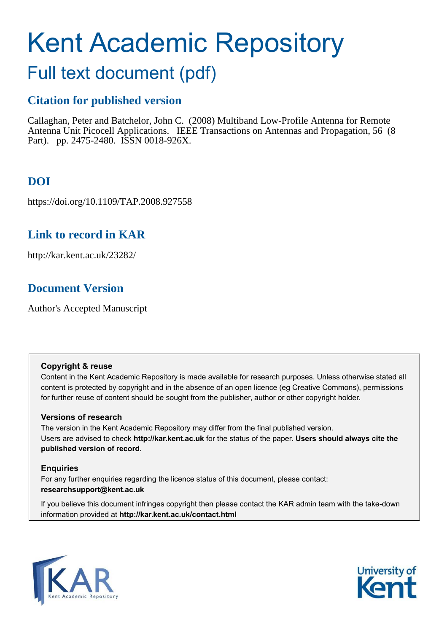# Kent Academic Repository

# Full text document (pdf)

### **Citation for published version**

Callaghan, Peter and Batchelor, John C. (2008) Multiband Low-Profile Antenna for Remote Antenna Unit Picocell Applications. IEEE Transactions on Antennas and Propagation, 56 (8 Part). pp. 2475-2480. ISSN 0018-926X.

## **DOI**

https://doi.org/10.1109/TAP.2008.927558

### **Link to record in KAR**

http://kar.kent.ac.uk/23282/

### **Document Version**

Author's Accepted Manuscript

### **Copyright & reuse**

Content in the Kent Academic Repository is made available for research purposes. Unless otherwise stated all content is protected by copyright and in the absence of an open licence (eg Creative Commons), permissions for further reuse of content should be sought from the publisher, author or other copyright holder.

### **Versions of research**

The version in the Kent Academic Repository may differ from the final published version. Users are advised to check **http://kar.kent.ac.uk** for the status of the paper. **Users should always cite the published version of record.**

### **Enquiries**

For any further enquiries regarding the licence status of this document, please contact: **researchsupport@kent.ac.uk**

If you believe this document infringes copyright then please contact the KAR admin team with the take-down information provided at **http://kar.kent.ac.uk/contact.html**



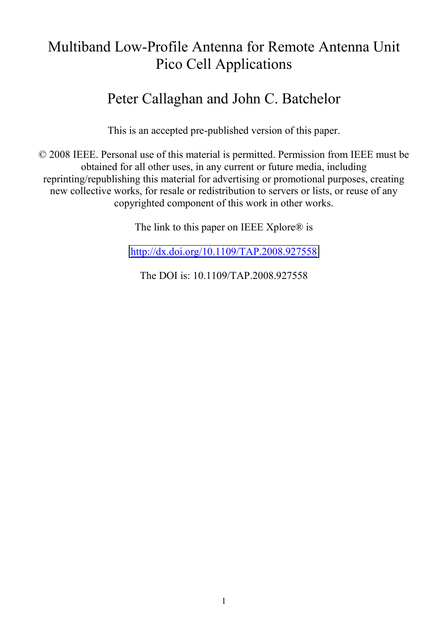# Multiband Low-Profile Antenna for Remote Antenna Unit Pico Cell Applications

# Peter Callaghan and John C. Batchelor

This is an accepted pre-published version of this paper.

© 2008 IEEE. Personal use of this material is permitted. Permission from IEEE must be obtained for all other uses, in any current or future media, including reprinting/republishing this material for advertising or promotional purposes, creating new collective works, for resale or redistribution to servers or lists, or reuse of any copyrighted component of this work in other works.

The link to this paper on IEEE Xplore® is

<http://dx.doi.org/10.1109/TAP.2008.927558>

The DOI is: 10.1109/TAP.2008.927558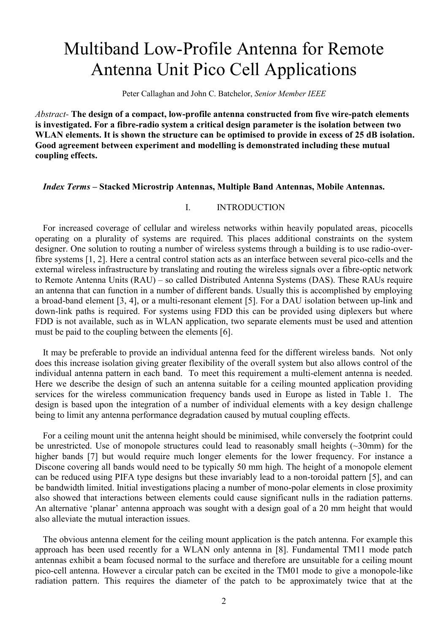# Multiband Low-Profile Antenna for Remote Antenna Unit Pico Cell Applications

Peter Callaghan and John C. Batchelor, *Senior Member IEEE*

*Abstract-* **The design of a compact, low-profile antenna constructed from five wire-patch elements is investigated. For a fibre-radio system a critical design parameter is the isolation between two WLAN elements. It is shown the structure can be optimised to provide in excess of 25 dB isolation. Good agreement between experiment and modelling is demonstrated including these mutual coupling effects.**

### *Index Terms* **– Stacked Microstrip Antennas, Multiple Band Antennas, Mobile Antennas.**

#### I. INTRODUCTION

For increased coverage of cellular and wireless networks within heavily populated areas, picocells operating on a plurality of systems are required. This places additional constraints on the system designer. One solution to routing a number of wireless systems through a building is to use radio-overfibre systems [1, 2]. Here a central control station acts as an interface between several pico-cells and the external wireless infrastructure by translating and routing the wireless signals over a fibre-optic network to Remote Antenna Units (RAU) – so called Distributed Antenna Systems (DAS). These RAUs require an antenna that can function in a number of different bands. Usually this is accomplished by employing a broad-band element [3, 4], or a multi-resonant element [5]. For a DAU isolation between up-link and down-link paths is required. For systems using FDD this can be provided using diplexers but where FDD is not available, such as in WLAN application, two separate elements must be used and attention must be paid to the coupling between the elements [6].

It may be preferable to provide an individual antenna feed for the different wireless bands. Not only does this increase isolation giving greater flexibility of the overall system but also allows control of the individual antenna pattern in each band. To meet this requirement a multi-element antenna is needed. Here we describe the design of such an antenna suitable for a ceiling mounted application providing services for the wireless communication frequency bands used in Europe as listed in Table 1. The design is based upon the integration of a number of individual elements with a key design challenge being to limit any antenna performance degradation caused by mutual coupling effects.

For a ceiling mount unit the antenna height should be minimised, while conversely the footprint could be unrestricted. Use of monopole structures could lead to reasonably small heights (~30mm) for the higher bands [7] but would require much longer elements for the lower frequency. For instance a Discone covering all bands would need to be typically 50 mm high. The height of a monopole element can be reduced using PIFA type designs but these invariably lead to a non-toroidal pattern [5], and can be bandwidth limited. Initial investigations placing a number of mono-polar elements in close proximity also showed that interactions between elements could cause significant nulls in the radiation patterns. An alternative 'planar' antenna approach was sought with a design goal of a 20 mm height that would also alleviate the mutual interaction issues.

The obvious antenna element for the ceiling mount application is the patch antenna. For example this approach has been used recently for a WLAN only antenna in [8]. Fundamental TM11 mode patch antennas exhibit a beam focused normal to the surface and therefore are unsuitable for a ceiling mount pico-cell antenna. However a circular patch can be excited in the TM01 mode to give a monopole-like radiation pattern. This requires the diameter of the patch to be approximately twice that at the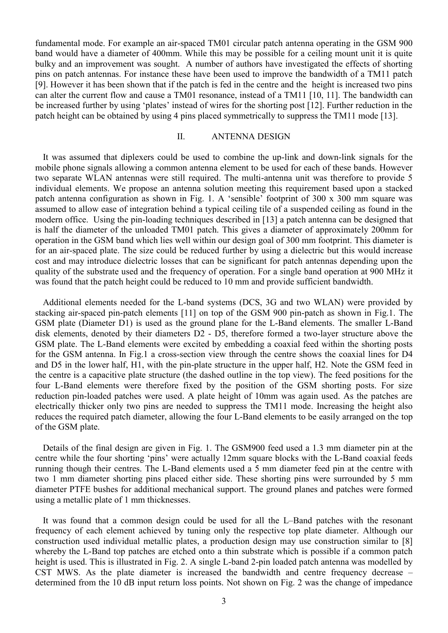fundamental mode. For example an air-spaced TM01 circular patch antenna operating in the GSM 900 band would have a diameter of 400mm. While this may be possible for a ceiling mount unit it is quite bulky and an improvement was sought. A number of authors have investigated the effects of shorting pins on patch antennas. For instance these have been used to improve the bandwidth of a TM11 patch [9]. However it has been shown that if the patch is fed in the centre and the height is increased two pins can alter the current flow and cause a TM01 resonance, instead of a TM11 [10, 11]. The bandwidth can be increased further by using 'plates' instead of wires for the shorting post [12]. Further reduction in the patch height can be obtained by using 4 pins placed symmetrically to suppress the TM11 mode [13].

### II. ANTENNA DESIGN

It was assumed that diplexers could be used to combine the up-link and down-link signals for the mobile phone signals allowing a common antenna element to be used for each of these bands. However two separate WLAN antennas were still required. The multi-antenna unit was therefore to provide 5 individual elements. We propose an antenna solution meeting this requirement based upon a stacked patch antenna configuration as shown in Fig. 1. A 'sensible' footprint of 300 x 300 mm square was assumed to allow ease of integration behind a typical ceiling tile of a suspended ceiling as found in the modern office. Using the pin-loading techniques described in [13] a patch antenna can be designed that is half the diameter of the unloaded TM01 patch. This gives a diameter of approximately 200mm for operation in the GSM band which lies well within our design goal of 300 mm footprint. This diameter is for an air-spaced plate. The size could be reduced further by using a dielectric but this would increase cost and may introduce dielectric losses that can be significant for patch antennas depending upon the quality of the substrate used and the frequency of operation. For a single band operation at 900 MHz it was found that the patch height could be reduced to 10 mm and provide sufficient bandwidth.

Additional elements needed for the L-band systems (DCS, 3G and two WLAN) were provided by stacking air-spaced pin-patch elements [11] on top of the GSM 900 pin-patch as shown in Fig.1. The GSM plate (Diameter D1) is used as the ground plane for the L-Band elements. The smaller L-Band disk elements, denoted by their diameters D2 - D5, therefore formed a two-layer structure above the GSM plate. The L-Band elements were excited by embedding a coaxial feed within the shorting posts for the GSM antenna. In Fig.1 a cross-section view through the centre shows the coaxial lines for D4 and D5 in the lower half, H1, with the pin-plate structure in the upper half, H2. Note the GSM feed in the centre is a capacitive plate structure (the dashed outline in the top view). The feed positions for the four L-Band elements were therefore fixed by the position of the GSM shorting posts. For size reduction pin-loaded patches were used. A plate height of 10mm was again used. As the patches are electrically thicker only two pins are needed to suppress the TM11 mode. Increasing the height also reduces the required patch diameter, allowing the four L-Band elements to be easily arranged on the top of the GSM plate.

Details of the final design are given in Fig. 1. The GSM900 feed used a 1.3 mm diameter pin at the centre while the four shorting 'pins' were actually 12mm square blocks with the L-Band coaxial feeds running though their centres. The L-Band elements used a 5 mm diameter feed pin at the centre with two 1 mm diameter shorting pins placed either side. These shorting pins were surrounded by 5 mm diameter PTFE bushes for additional mechanical support. The ground planes and patches were formed using a metallic plate of 1 mm thicknesses.

It was found that a common design could be used for all the L–Band patches with the resonant frequency of each element achieved by tuning only the respective top plate diameter. Although our construction used individual metallic plates, a production design may use construction similar to [8] whereby the L-Band top patches are etched onto a thin substrate which is possible if a common patch height is used. This is illustrated in Fig. 2. A single L-band 2-pin loaded patch antenna was modelled by CST MWS. As the plate diameter is increased the bandwidth and centre frequency decrease – determined from the 10 dB input return loss points. Not shown on Fig. 2 was the change of impedance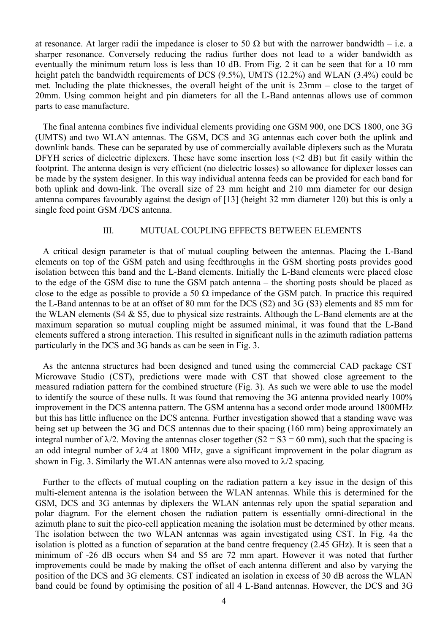at resonance. At larger radii the impedance is closer to 50  $\Omega$  but with the narrower bandwidth – i.e. a sharper resonance. Conversely reducing the radius further does not lead to a wider bandwidth as eventually the minimum return loss is less than 10 dB. From Fig. 2 it can be seen that for a 10 mm height patch the bandwidth requirements of DCS (9.5%), UMTS (12.2%) and WLAN (3.4%) could be met. Including the plate thicknesses, the overall height of the unit is 23mm – close to the target of 20mm. Using common height and pin diameters for all the L-Band antennas allows use of common parts to ease manufacture.

The final antenna combines five individual elements providing one GSM 900, one DCS 1800, one 3G (UMTS) and two WLAN antennas. The GSM, DCS and 3G antennas each cover both the uplink and downlink bands. These can be separated by use of commercially available diplexers such as the Murata DFYH series of dielectric diplexers. These have some insertion loss (<2 dB) but fit easily within the footprint. The antenna design is very efficient (no dielectric losses) so allowance for diplexer losses can be made by the system designer. In this way individual antenna feeds can be provided for each band for both uplink and down-link. The overall size of 23 mm height and 210 mm diameter for our design antenna compares favourably against the design of [13] (height 32 mm diameter 120) but this is only a single feed point GSM /DCS antenna.

### III. MUTUAL COUPLING EFFECTS BETWEEN ELEMENTS

A critical design parameter is that of mutual coupling between the antennas. Placing the L-Band elements on top of the GSM patch and using feedthroughs in the GSM shorting posts provides good isolation between this band and the L-Band elements. Initially the L-Band elements were placed close to the edge of the GSM disc to tune the GSM patch antenna – the shorting posts should be placed as close to the edge as possible to provide a 50  $\Omega$  impedance of the GSM patch. In practice this required the L-Band antennas to be at an offset of 80 mm for the DCS (S2) and 3G (S3) elements and 85 mm for the WLAN elements (S4 & S5, due to physical size restraints. Although the L-Band elements are at the maximum separation so mutual coupling might be assumed minimal, it was found that the L-Band elements suffered a strong interaction. This resulted in significant nulls in the azimuth radiation patterns particularly in the DCS and 3G bands as can be seen in Fig. 3.

As the antenna structures had been designed and tuned using the commercial CAD package CST Microwave Studio (CST), predictions were made with CST that showed close agreement to the measured radiation pattern for the combined structure (Fig. 3). As such we were able to use the model to identify the source of these nulls. It was found that removing the 3G antenna provided nearly 100% improvement in the DCS antenna pattern. The GSM antenna has a second order mode around 1800MHz but this has little influence on the DCS antenna. Further investigation showed that a standing wave was being set up between the 3G and DCS antennas due to their spacing (160 mm) being approximately an integral number of  $\lambda/2$ . Moving the antennas closer together (S2 = S3 = 60 mm), such that the spacing is an odd integral number of  $\lambda$ /4 at 1800 MHz, gave a significant improvement in the polar diagram as shown in Fig. 3. Similarly the WLAN antennas were also moved to  $\lambda/2$  spacing.

Further to the effects of mutual coupling on the radiation pattern a key issue in the design of this multi-element antenna is the isolation between the WLAN antennas. While this is determined for the GSM, DCS and 3G antennas by diplexers the WLAN antennas rely upon the spatial separation and polar diagram. For the element chosen the radiation pattern is essentially omni-directional in the azimuth plane to suit the pico-cell application meaning the isolation must be determined by other means. The isolation between the two WLAN antennas was again investigated using CST. In Fig. 4a the isolation is plotted as a function of separation at the band centre frequency (2.45 GHz). It is seen that a minimum of -26 dB occurs when S4 and S5 are 72 mm apart. However it was noted that further improvements could be made by making the offset of each antenna different and also by varying the position of the DCS and 3G elements. CST indicated an isolation in excess of 30 dB across the WLAN band could be found by optimising the position of all 4 L-Band antennas. However, the DCS and 3G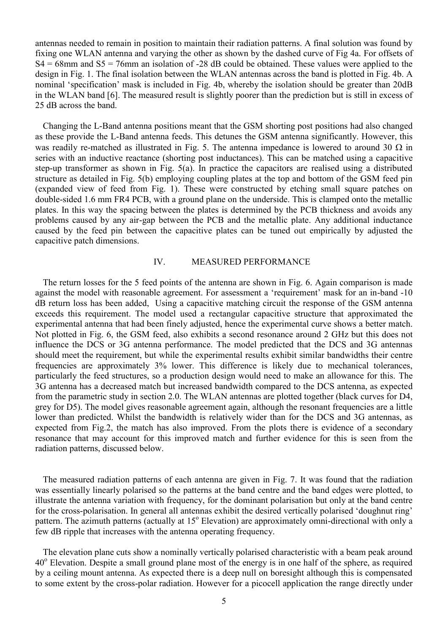antennas needed to remain in position to maintain their radiation patterns. A final solution was found by fixing one WLAN antenna and varying the other as shown by the dashed curve of Fig 4a. For offsets of  $S4 = 68$ mm and  $S5 = 76$ mm an isolation of -28 dB could be obtained. These values were applied to the design in Fig. 1. The final isolation between the WLAN antennas across the band is plotted in Fig. 4b. A nominal 'specification' mask is included in Fig. 4b, whereby the isolation should be greater than 20dB in the WLAN band [6]. The measured result is slightly poorer than the prediction but is still in excess of 25 dB across the band.

Changing the L-Band antenna positions meant that the GSM shorting post positions had also changed as these provide the L-Band antenna feeds. This detunes the GSM antenna significantly. However, this was readily re-matched as illustrated in Fig. 5. The antenna impedance is lowered to around 30  $\Omega$  in series with an inductive reactance (shorting post inductances). This can be matched using a capacitive step-up transformer as shown in Fig. 5(a). In practice the capacitors are realised using a distributed structure as detailed in Fig. 5(b) employing coupling plates at the top and bottom of the GSM feed pin (expanded view of feed from Fig. 1). These were constructed by etching small square patches on double-sided 1.6 mm FR4 PCB, with a ground plane on the underside. This is clamped onto the metallic plates. In this way the spacing between the plates is determined by the PCB thickness and avoids any problems caused by any air-gap between the PCB and the metallic plate. Any additional inductance caused by the feed pin between the capacitive plates can be tuned out empirically by adjusted the capacitive patch dimensions.

### IV. MEASURED PERFORMANCE

The return losses for the 5 feed points of the antenna are shown in Fig. 6. Again comparison is made against the model with reasonable agreement. For assessment a 'requirement' mask for an in-band -10 dB return loss has been added, Using a capacitive matching circuit the response of the GSM antenna exceeds this requirement. The model used a rectangular capacitive structure that approximated the experimental antenna that had been finely adjusted, hence the experimental curve shows a better match. Not plotted in Fig. 6, the GSM feed, also exhibits a second resonance around 2 GHz but this does not influence the DCS or 3G antenna performance. The model predicted that the DCS and 3G antennas should meet the requirement, but while the experimental results exhibit similar bandwidths their centre frequencies are approximately 3% lower. This difference is likely due to mechanical tolerances, particularly the feed structures, so a production design would need to make an allowance for this. The 3G antenna has a decreased match but increased bandwidth compared to the DCS antenna, as expected from the parametric study in section 2.0. The WLAN antennas are plotted together (black curves for D4, grey for D5). The model gives reasonable agreement again, although the resonant frequencies are a little lower than predicted. Whilst the bandwidth is relatively wider than for the DCS and 3G antennas, as expected from Fig.2, the match has also improved. From the plots there is evidence of a secondary resonance that may account for this improved match and further evidence for this is seen from the radiation patterns, discussed below.

The measured radiation patterns of each antenna are given in Fig. 7. It was found that the radiation was essentially linearly polarised so the patterns at the band centre and the band edges were plotted, to illustrate the antenna variation with frequency, for the dominant polarisation but only at the band centre for the cross-polarisation. In general all antennas exhibit the desired vertically polarised 'doughnut ring' pattern. The azimuth patterns (actually at 15° Elevation) are approximately omni-directional with only a few dB ripple that increases with the antenna operating frequency.

The elevation plane cuts show a nominally vertically polarised characteristic with a beam peak around 40° Elevation. Despite a small ground plane most of the energy is in one half of the sphere, as required by a ceiling mount antenna. As expected there is a deep null on boresight although this is compensated to some extent by the cross-polar radiation. However for a picocell application the range directly under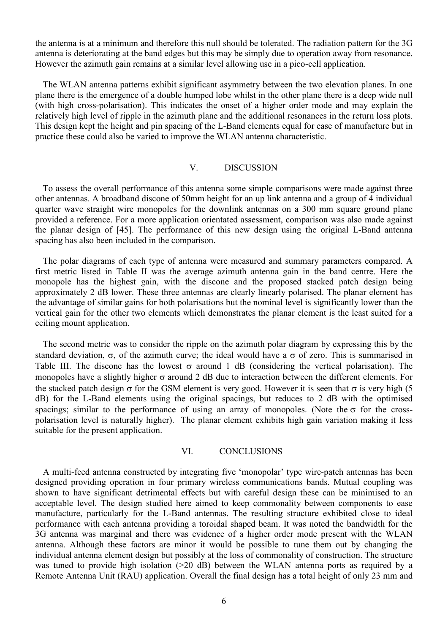the antenna is at a minimum and therefore this null should be tolerated. The radiation pattern for the 3G antenna is deteriorating at the band edges but this may be simply due to operation away from resonance. However the azimuth gain remains at a similar level allowing use in a pico-cell application.

The WLAN antenna patterns exhibit significant asymmetry between the two elevation planes. In one plane there is the emergence of a double humped lobe whilst in the other plane there is a deep wide null (with high cross-polarisation). This indicates the onset of a higher order mode and may explain the relatively high level of ripple in the azimuth plane and the additional resonances in the return loss plots. This design kept the height and pin spacing of the L-Band elements equal for ease of manufacture but in practice these could also be varied to improve the WLAN antenna characteristic.

#### V. DISCUSSION

To assess the overall performance of this antenna some simple comparisons were made against three other antennas. A broadband discone of 50mm height for an up link antenna and a group of 4 individual quarter wave straight wire monopoles for the downlink antennas on a 300 mm square ground plane provided a reference. For a more application orientated assessment, comparison was also made against the planar design of [45]. The performance of this new design using the original L-Band antenna spacing has also been included in the comparison.

The polar diagrams of each type of antenna were measured and summary parameters compared. A first metric listed in Table II was the average azimuth antenna gain in the band centre. Here the monopole has the highest gain, with the discone and the proposed stacked patch design being approximately 2 dB lower. These three antennas are clearly linearly polarised. The planar element has the advantage of similar gains for both polarisations but the nominal level is significantly lower than the vertical gain for the other two elements which demonstrates the planar element is the least suited for a ceiling mount application.

The second metric was to consider the ripple on the azimuth polar diagram by expressing this by the standard deviation,  $\sigma$ , of the azimuth curve; the ideal would have a  $\sigma$  of zero. This is summarised in Table III. The discone has the lowest  $\sigma$  around 1 dB (considering the vertical polarisation). The monopoles have a slightly higher  $\sigma$  around 2 dB due to interaction between the different elements. For the stacked patch design  $\sigma$  for the GSM element is very good. However it is seen that  $\sigma$  is very high (5 dB) for the L-Band elements using the original spacings, but reduces to 2 dB with the optimised spacings; similar to the performance of using an array of monopoles. (Note the  $\sigma$  for the crosspolarisation level is naturally higher). The planar element exhibits high gain variation making it less suitable for the present application.

### VI. CONCLUSIONS

A multi-feed antenna constructed by integrating five 'monopolar' type wire-patch antennas has been designed providing operation in four primary wireless communications bands. Mutual coupling was shown to have significant detrimental effects but with careful design these can be minimised to an acceptable level. The design studied here aimed to keep commonality between components to ease manufacture, particularly for the L-Band antennas. The resulting structure exhibited close to ideal performance with each antenna providing a toroidal shaped beam. It was noted the bandwidth for the 3G antenna was marginal and there was evidence of a higher order mode present with the WLAN antenna. Although these factors are minor it would be possible to tune them out by changing the individual antenna element design but possibly at the loss of commonality of construction. The structure was tuned to provide high isolation (>20 dB) between the WLAN antenna ports as required by a Remote Antenna Unit (RAU) application. Overall the final design has a total height of only 23 mm and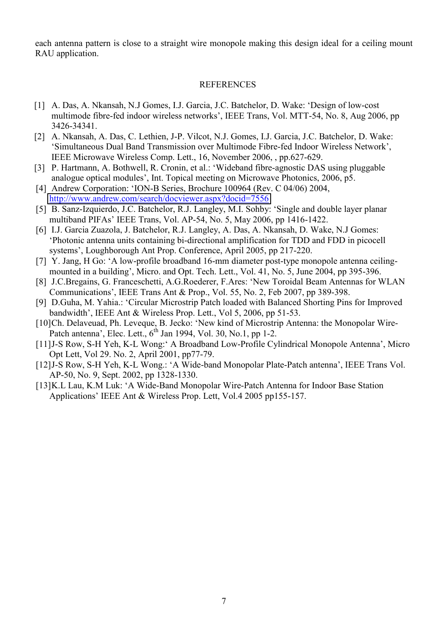each antenna pattern is close to a straight wire monopole making this design ideal for a ceiling mount RAU application.

#### REFERENCES

- [1] A. Das, A. Nkansah, N.J Gomes, I.J. Garcia, J.C. Batchelor, D. Wake: 'Design of low-cost multimode fibre-fed indoor wireless networks', IEEE Trans, Vol. MTT-54, No. 8, Aug 2006, pp 3426-34341.
- [2] A. Nkansah, A. Das, C. Lethien, J-P. Vilcot, N.J. Gomes, I.J. Garcia, J.C. Batchelor, D. Wake: 'Simultaneous Dual Band Transmission over Multimode Fibre-fed Indoor Wireless Network', IEEE Microwave Wireless Comp. Lett., 16, November 2006, , pp.627-629.
- [3] P. Hartmann, A. Bothwell, R. Cronin, et al.: 'Wideband fibre-agnostic DAS using pluggable analogue optical modules', Int. Topical meeting on Microwave Photonics, 2006, p5.
- [4] Andrew Corporation: 'ION-B Series, Brochure 100964 (Rev. C 04/06) 2004, <http://www.andrew.com/search/docviewer.aspx?docid=7556>
- [5] B. Sanz-Izquierdo, J.C. Batchelor, R.J. Langley, M.I. Sohby: 'Single and double layer planar multiband PIFAs' IEEE Trans, Vol. AP-54, No. 5, May 2006, pp 1416-1422.
- [6] I.J. Garcia Zuazola, J. Batchelor, R.J. Langley, A. Das, A. Nkansah, D. Wake, N.J Gomes: 'Photonic antenna units containing bi-directional amplification for TDD and FDD in picocell systems', Loughborough Ant Prop. Conference, April 2005, pp 217-220.
- [7] Y. Jang, H Go: 'A low-profile broadband 16-mm diameter post-type monopole antenna ceilingmounted in a building', Micro. and Opt. Tech. Lett., Vol. 41, No. 5, June 2004, pp 395-396.
- [8] J.C.Bregains, G. Franceschetti, A.G.Roederer, F.Ares: 'New Toroidal Beam Antennas for WLAN Communications', IEEE Trans Ant & Prop., Vol. 55, No. 2, Feb 2007, pp 389-398.
- [9] D.Guha, M. Yahia.: 'Circular Microstrip Patch loaded with Balanced Shorting Pins for Improved bandwidth', IEEE Ant & Wireless Prop. Lett., Vol 5, 2006, pp 51-53.
- [10]Ch. Delaveuad, Ph. Leveque, B. Jecko: 'New kind of Microstrip Antenna: the Monopolar Wire-Patch antenna', Elec. Lett.,  $6^{th}$  Jan 1994, Vol. 30, No.1, pp 1-2.
- [11]J-S Row, S-H Yeh, K-L Wong:' A Broadband Low-Profile Cylindrical Monopole Antenna', Micro Opt Lett, Vol 29. No. 2, April 2001, pp77-79.
- [12]J-S Row, S-H Yeh, K-L Wong.: 'A Wide-band Monopolar Plate-Patch antenna', IEEE Trans Vol. AP-50, No. 9, Sept. 2002, pp 1328-1330.
- [13]K.L Lau, K.M Luk: 'A Wide-Band Monopolar Wire-Patch Antenna for Indoor Base Station Applications' IEEE Ant & Wireless Prop. Lett, Vol.4 2005 pp155-157.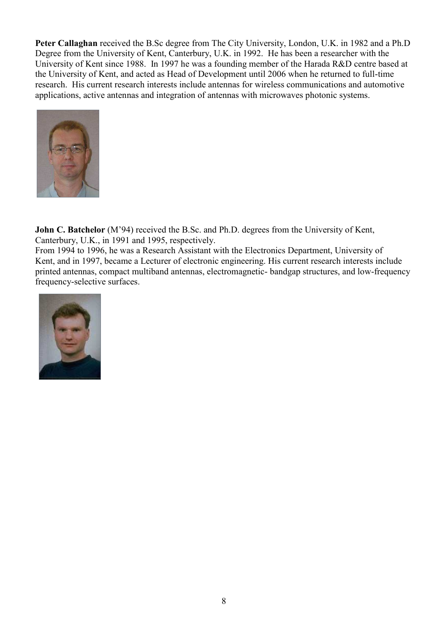**Peter Callaghan** received the B.Sc degree from The City University, London, U.K. in 1982 and a Ph.D Degree from the University of Kent, Canterbury, U.K. in 1992. He has been a researcher with the University of Kent since 1988. In 1997 he was a founding member of the Harada R&D centre based at the University of Kent, and acted as Head of Development until 2006 when he returned to full-time research. His current research interests include antennas for wireless communications and automotive applications, active antennas and integration of antennas with microwaves photonic systems.



**John C. Batchelor** (M'94) received the B.Sc. and Ph.D. degrees from the University of Kent, Canterbury, U.K., in 1991 and 1995, respectively.

From 1994 to 1996, he was a Research Assistant with the Electronics Department, University of Kent, and in 1997, became a Lecturer of electronic engineering. His current research interests include printed antennas, compact multiband antennas, electromagnetic- bandgap structures, and low-frequency frequency-selective surfaces.

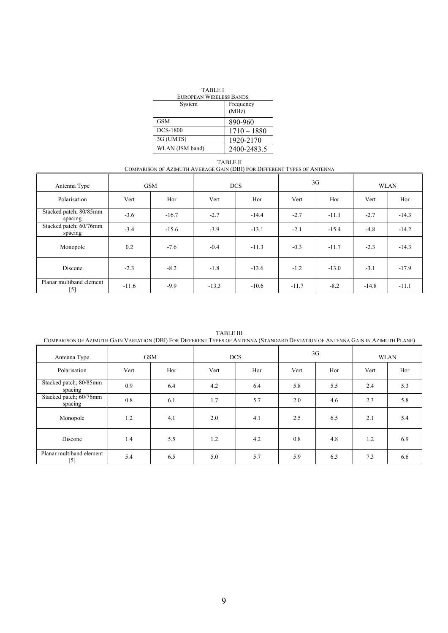| <b>TABLE I</b>          |               |  |  |  |
|-------------------------|---------------|--|--|--|
| EUROPEAN WIRELESS BANDS |               |  |  |  |
| System                  | Frequency     |  |  |  |
|                         | (MHz)         |  |  |  |
| <b>GSM</b>              | 890-960       |  |  |  |
| <b>DCS-1800</b>         | $1710 - 1880$ |  |  |  |
| 3G (UMTS)               | 1920-2170     |  |  |  |
| WLAN (ISM band)         | 2400-2483.5   |  |  |  |

TABLE II COMPARISON OF AZIMUTH AVERAGE GAIN (DBI) FOR DIFFERENT TYPES OF ANTENNA

| Antenna Type                      | <b>GSM</b> |         | <b>DCS</b> |         | 3 <sub>G</sub> |         | <b>WLAN</b> |         |
|-----------------------------------|------------|---------|------------|---------|----------------|---------|-------------|---------|
| Polarisation                      | Vert       | Hor     | Vert       | Hor     | Vert           | Hor     | Vert        | Hor     |
| Stacked patch; 80/85mm<br>spacing | $-3.6$     | $-16.7$ | $-2.7$     | $-14.4$ | $-2.7$         | $-11.1$ | $-2.7$      | $-14.3$ |
| Stacked patch; 60/76mm<br>spacing | $-3.4$     | $-15.6$ | $-3.9$     | $-13.1$ | $-2.1$         | $-15.4$ | $-4.8$      | $-14.2$ |
| Monopole                          | 0.2        | $-7.6$  | $-0.4$     | $-11.3$ | $-0.3$         | $-11.7$ | $-2.3$      | $-14.3$ |
| Discone                           | $-2.3$     | $-8.2$  | $-1.8$     | $-13.6$ | $-1.2$         | $-13.0$ | $-3.1$      | $-17.9$ |
| Planar multiband element<br>[5]   | $-11.6$    | $-9.9$  | $-13.3$    | $-10.6$ | $-11.7$        | $-8.2$  | $-14.8$     | $-11.1$ |

TABLE III

| Antenna Type                      | <b>GSM</b> |     | <b>DCS</b> |     | 3G   |     | <b>WLAN</b> |     |
|-----------------------------------|------------|-----|------------|-----|------|-----|-------------|-----|
| Polarisation                      | Vert       | Hor | Vert       | Hor | Vert | Hor | Vert        | Hor |
| Stacked patch; 80/85mm<br>spacing | 0.9        | 6.4 | 4.2        | 6.4 | 5.8  | 5.5 | 2.4         | 5.3 |
| Stacked patch; 60/76mm<br>spacing | 0.8        | 6.1 | 1.7        | 5.7 | 2.0  | 4.6 | 2.3         | 5.8 |
| Monopole                          | 1.2        | 4.1 | 2.0        | 4.1 | 2.5  | 6.5 | 2.1         | 5.4 |
| Discone                           | 1.4        | 5.5 | 1.2        | 4.2 | 0.8  | 4.8 | 1.2         | 6.9 |
| Planar multiband element<br>[5]   | 5.4        | 6.5 | 5.0        | 5.7 | 5.9  | 6.3 | 7.3         | 6.6 |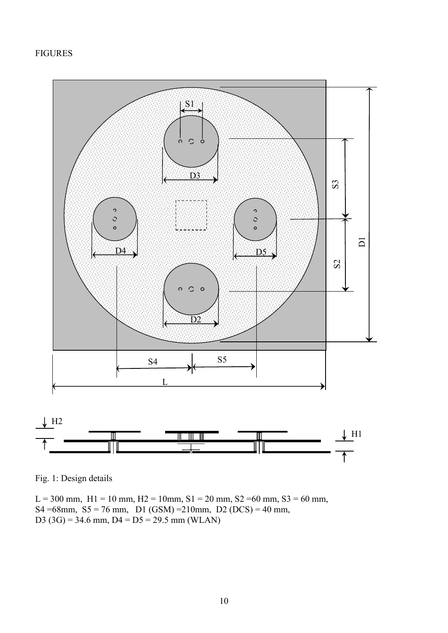### FIGURES



Fig. 1: Design details

L = 300 mm, H1 = 10 mm, H2 = 10mm, S1 = 20 mm, S2 = 60 mm, S3 = 60 mm, S4 =68mm, S5 = 76 mm, D1 (GSM) = 210mm, D2 (DCS) = 40 mm, D3 (3G) = 34.6 mm, D4 = D5 = 29.5 mm (WLAN)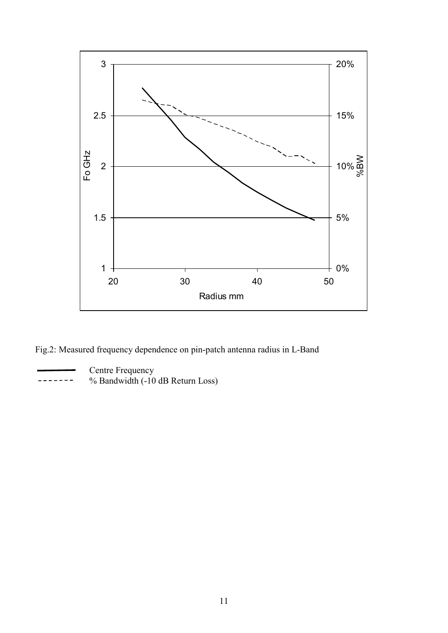

Fig.2: Measured frequency dependence on pin-patch antenna radius in L-Band

**Centre Frequency** 

 $--- 8$  % Bandwidth  $(-10$  dB Return Loss)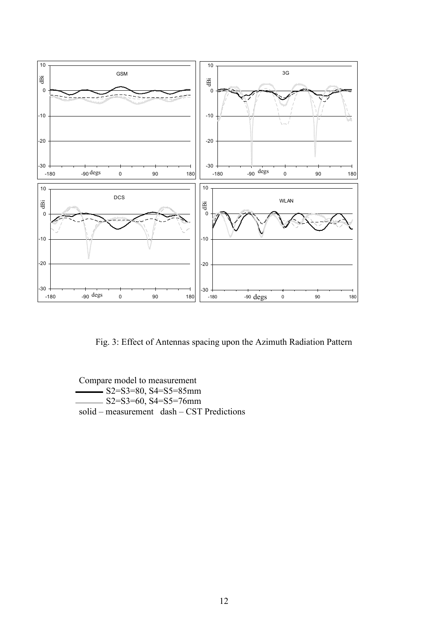

Fig. 3: Effect of Antennas spacing upon the Azimuth Radiation Pattern

Compare model to measurement  $-S2=$ S3=80, S4=S5=85mm  $S2 = S3 = 60, S4 = S5 = 76$ mm solid – measurement dash – CST Predictions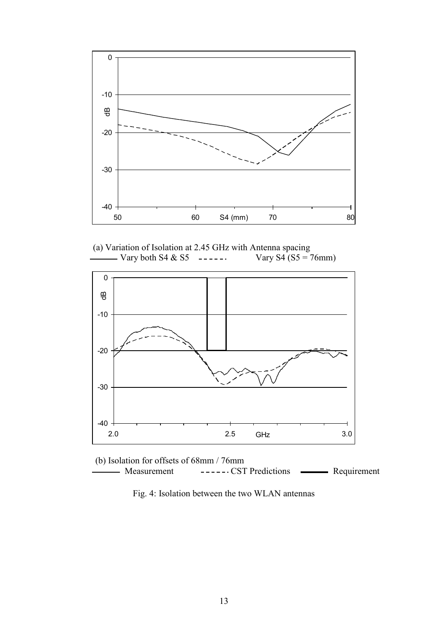

(a) Variation of Isolation at 2.45 GHz with Antenna spacing<br>
Vary S4 (S5 =  $\cdot$  Vary S4 (S5 =  $\cdot$  $----$  Vary S4 (S5 = 76mm)



(b) Isolation for offsets of 68mm / 76mm Measurement ------CST Predictions **-----** Requirement

Fig. 4: Isolation between the two WLAN antennas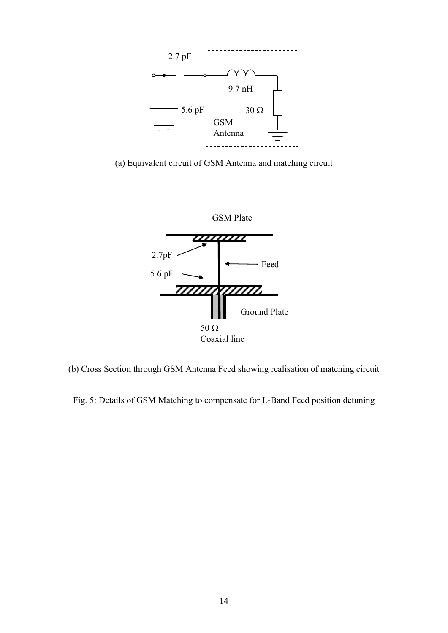

(a) Equivalent circuit of GSM Antenna and matching circuit



(b) Cross Section through GSM Antenna Feed showing realisation of matching circuit

Fig. 5: Details of GSM Matching to compensate for L-Band Feed position detuning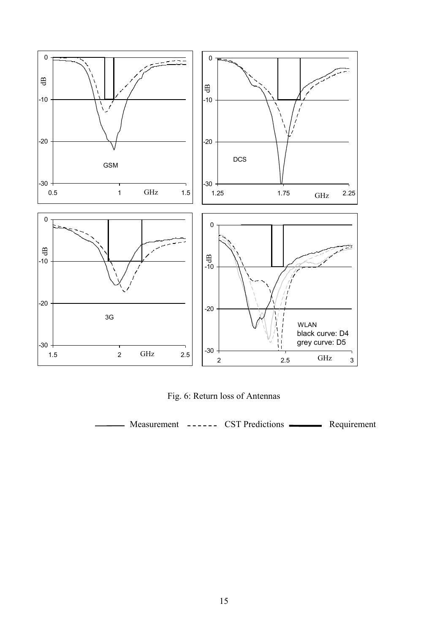

Fig. 6: Return loss of Antennas

Measurement ------ CST Predictions **------** Requirement